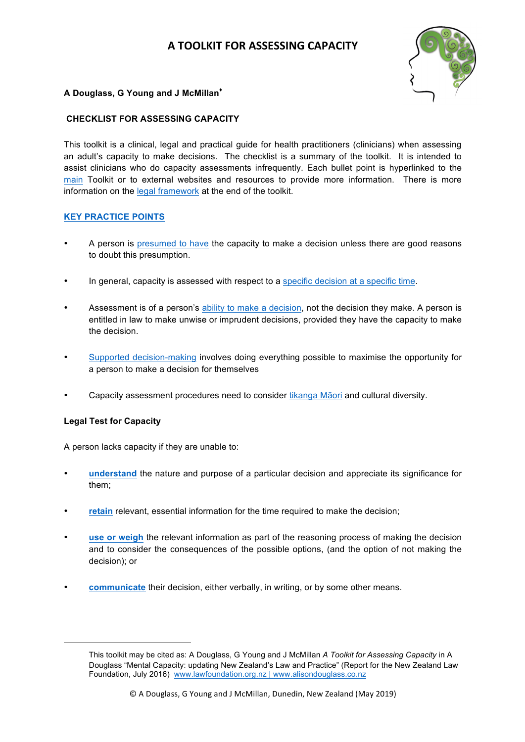# **A TOOLKIT FOR ASSESSING CAPACITY**



# <span id="page-0-0"></span>**A Douglass, G Young and J McMillan♦**

# **CHECKLIST FOR ASSESSING CAPACITY**

This toolkit is a clinical, legal and practical guide for health practitioners (clinicians) when assessing an adult's capacity to make decisions. The checklist is a summary of the toolkit. It is intended to assist clinicians who do capacity assessments infrequently. Each bullet point is hyperlinked to the [main](#page-2-0) Toolkit or to external websites and resources to provide more information. There is more information on th[e legal framework](#page-14-0) at the end of the toolkit.

# **[KEY PRACTICE POINTS](#page-3-0)**

- A person i[s presumed to have](#page-3-1) the capacity to make a decision unless there are good reasons to doubt this presumption.
- In general, capacity is assessed with respect to a [specific decision at a specific time.](#page-4-0)
- Assessment is of a person'[s ability to make a decision,](#page-4-0) not the decision they make. A person is entitled in law to make unwise or imprudent decisions, provided they have the capacity to make the decision.
- [Supported decision-making](#page-4-0) involves doing everything possible to maximise the opportunity for a person to make a decision for themselves
- Capacity assessment procedures need to consider [tikanga M](#page-5-0)āori and cultural diversity.

# **Legal Test for Capacity**

<u> 1989 - Jan Samuel Barbara, margaret e</u>

A person lacks capacity if they are unable to:

- **[understand](#page-10-0)** the nature and purpose of a particular decision and appreciate its significance for them;
- **[retain](#page-11-0)** relevant, essential information for the time required to make the decision;
- **[use or weigh](#page-11-0)** the relevant information as part of the reasoning process of making the decision and to consider the consequences of the possible options, (and the option of not making the decision); or
- **[communicate](#page-12-0)** their decision, either verbally, in writing, or by some other means.

This toolkit may be cited as: A Douglass, G Young and J McMillan *A Toolkit for Assessing Capacity* in A Douglass "Mental Capacity: updating New Zealand's Law and Practice" (Report for the New Zealand Law Foundation, July 2016) www.lawfoundation.org.nz | www.alisondouglass.co.nz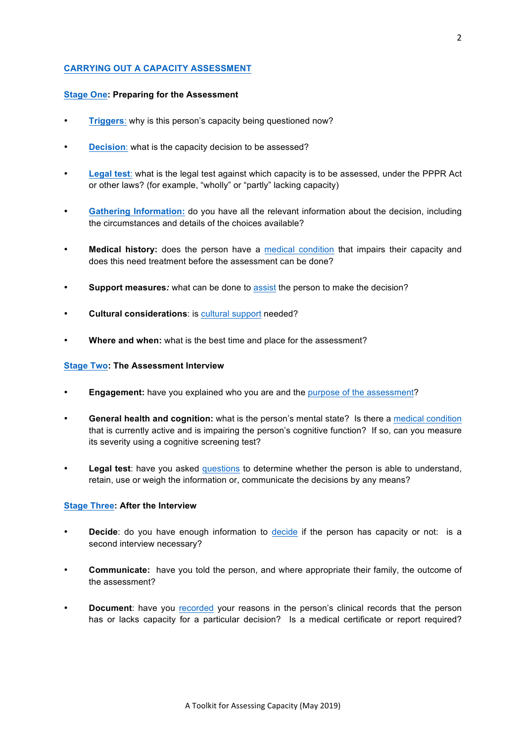# **[CARRYING OUT A CAPACITY ASSESSMENT](#page-6-0)**

#### **[Stage One:](#page-7-0) Preparing for the Assessment**

- **[Triggers](#page-7-0):** why is this person's capacity being questioned now?
- **[Decision](#page-7-0):** what is the capacity decision to be assessed?
- **[Legal test](#page-15-0)**: what is the legal test against which capacity is to be assessed, under the PPPR Act or other laws? (for example, "wholly" or "partly" lacking capacity)
- **[Gathering Information:](#page-9-0)** do you have all the relevant information about the decision, including the circumstances and details of the choices available?
- **Medical history:** does the person have a [medical condition](#page-8-0) that impairs their capacity and does this need treatment before the assessment can be done?
- **Support measures***:* what can be done to [assist](#page-8-0) the person to make the decision?
- **Cultural considerations**: is [cultural support](#page-9-0) needed?
- **Where and when:** what is the best time and place for the assessment?

#### **[Stage Two:](#page-10-0) The Assessment Interview**

- **Engagement:** have you explained who you are and the [purpose of the assessment?](#page-7-0)
- **General health and cognition:** what is the person's mental state? Is there a [medical condition](#page-8-0) that is currently active and is impairing the person's cognitive function? If so, can you measure its severity using a cognitive screening test?
- **Legal test**: have you asked [questions](#page-10-0) to determine whether the person is able to understand, retain, use or weigh the information or, communicate the decisions by any means?

#### **[Stage Three:](#page-12-0) After the Interview**

- **Decide**: do you have enough information to [decide](#page-12-0) if the person has capacity or not: is a second interview necessary?
- **Communicate:** have you told the person, and where appropriate their family, the outcome of the assessment?
- **Document:** have you [recorded](#page-13-0) your reasons in the person's clinical records that the person has or lacks capacity for a particular decision? Is a medical certificate or report required?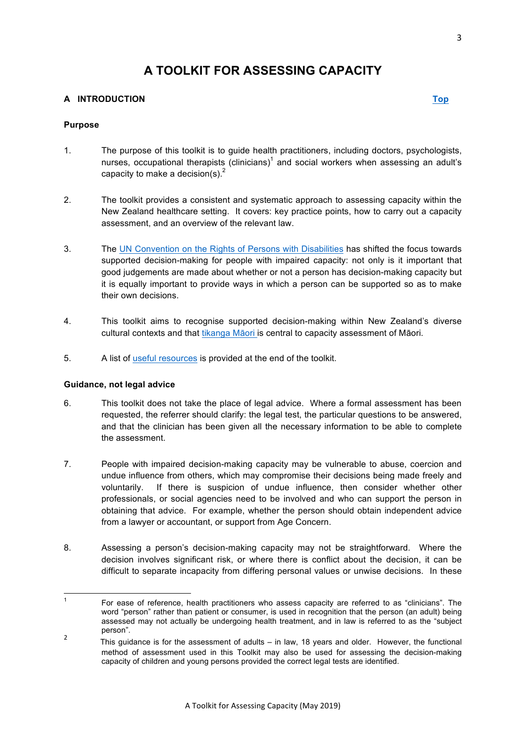# **A TOOLKIT FOR ASSESSING CAPACITY**

# <span id="page-2-0"></span>**A INTRODUCTION [Top](#page-0-0)**

# **Purpose**

- 1. The purpose of this toolkit is to guide health practitioners, including doctors, psychologists, nurses, occupational therapists (clinicians)<sup>1</sup> and social workers when assessing an adult's capacity to make a decision(s). $<sup>2</sup>$ </sup>
- 2. The toolkit provides a consistent and systematic approach to assessing capacity within the New Zealand healthcare setting. It covers: key practice points, how to carry out a capacity assessment, and an overview of the relevant law.
- 3. The [UN Convention on the Rights of Persons with Disabilities](http://www.barristerschambers.co.nz/mc/7.html) has shifted the focus towards supported decision-making for people with impaired capacity: not only is it important that good judgements are made about whether or not a person has decision-making capacity but it is equally important to provide ways in which a person can be supported so as to make their own decisions.
- 4. This toolkit aims to recognise supported decision-making within New Zealand's diverse cultural contexts and that [tikanga M](https://www.mcnz.org.nz/assets/News-and-Publications/Statements/Statement-on-best-practices-when-providing-care-to-Maori-patients-and-their-whanau.pdf)āori is central to capacity assessment of Māori.
- 5. A list o[f useful resources](#page-19-0) is provided at the end of the toolkit.

# **Guidance, not legal advice**

- 6. This toolkit does not take the place of legal advice. Where a formal assessment has been requested, the referrer should clarify: the legal test, the particular questions to be answered, and that the clinician has been given all the necessary information to be able to complete the assessment.
- 7. People with impaired decision-making capacity may be vulnerable to abuse, coercion and undue influence from others, which may compromise their decisions being made freely and voluntarily. If there is suspicion of undue influence, then consider whether other professionals, or social agencies need to be involved and who can support the person in obtaining that advice. For example, whether the person should obtain independent advice from a lawyer or accountant, or support from Age Concern.
- 8. Assessing a person's decision-making capacity may not be straightforward. Where the decision involves significant risk, or where there is conflict about the decision, it can be difficult to separate incapacity from differing personal values or unwise decisions. In these

 <sup>1</sup> For ease of reference, health practitioners who assess capacity are referred to as "clinicians". The word "person" rather than patient or consumer, is used in recognition that the person (an adult) being assessed may not actually be undergoing health treatment, and in law is referred to as the "subject person".

<sup>&</sup>lt;sup>2</sup> This quidance is for the assessment of adults – in law, 18 years and older. However, the functional method of assessment used in this Toolkit may also be used for assessing the decision-making capacity of children and young persons provided the correct legal tests are identified.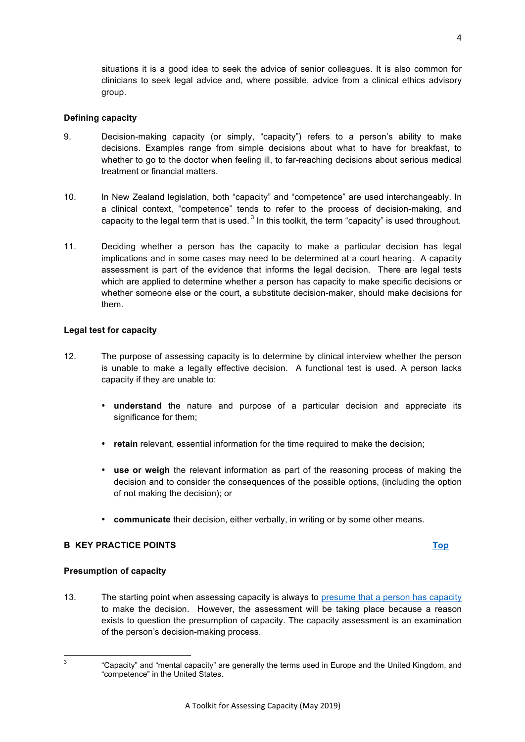<span id="page-3-1"></span>situations it is a good idea to seek the advice of senior colleagues. It is also common for clinicians to seek legal advice and, where possible, advice from a clinical ethics advisory group.

#### **Defining capacity**

- 9. Decision-making capacity (or simply, "capacity") refers to a person's ability to make decisions. Examples range from simple decisions about what to have for breakfast, to whether to go to the doctor when feeling ill, to far-reaching decisions about serious medical treatment or financial matters.
- 10. In New Zealand legislation, both "capacity" and "competence" are used interchangeably. In a clinical context, "competence" tends to refer to the process of decision-making, and capacity to the legal term that is used.  $3$  In this toolkit, the term "capacity" is used throughout.
- 11. Deciding whether a person has the capacity to make a particular decision has legal implications and in some cases may need to be determined at a court hearing. A capacity assessment is part of the evidence that informs the legal decision. There are legal tests which are applied to determine whether a person has capacity to make specific decisions or whether someone else or the court, a substitute decision-maker, should make decisions for them.

# **Legal test for capacity**

- <span id="page-3-0"></span>12. The purpose of assessing capacity is to determine by clinical interview whether the person is unable to make a legally effective decision. A functional test is used. A person lacks capacity if they are unable to:
	- **understand** the nature and purpose of a particular decision and appreciate its significance for them;
	- **retain** relevant, essential information for the time required to make the decision;
	- **use or weigh** the relevant information as part of the reasoning process of making the decision and to consider the consequences of the possible options, (including the option of not making the decision); or
	- **communicate** their decision, either verbally, in writing or by some other means.

# **B KEY PRACTICE POINTS [Top](#page-0-0)**

#### **Presumption of capacity**

13. The starting point when assessing capacity is always to [presume that a person has capacity](http://www.legislation.govt.nz/act/public/1988/0004/latest/DLM126576.html) to make the decision. However, the assessment will be taking place because a reason exists to question the presumption of capacity. The capacity assessment is an examination of the person's decision-making process.

<sup>&</sup>lt;sup>3</sup> "Capacity" and "mental capacity" are generally the terms used in Europe and the United Kingdom, and "competence" in the United States.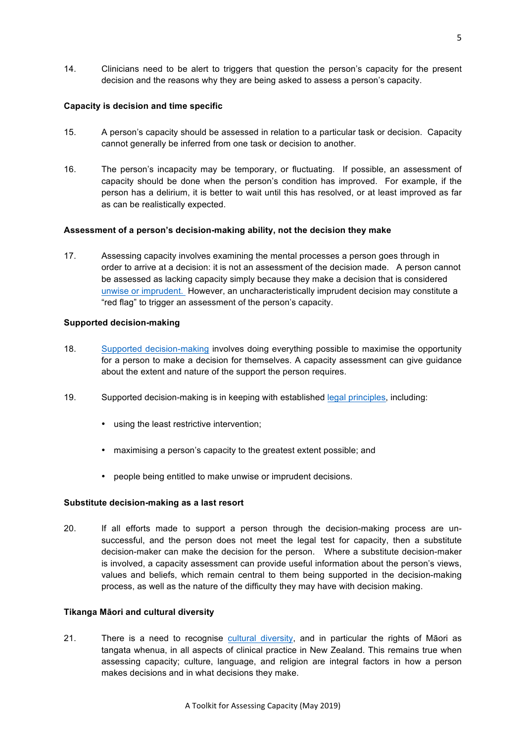<span id="page-4-0"></span>14. Clinicians need to be alert to triggers that question the person's capacity for the present decision and the reasons why they are being asked to assess a person's capacity.

# **Capacity is decision and time specific**

- 15. A person's capacity should be assessed in relation to a particular task or decision. Capacity cannot generally be inferred from one task or decision to another.
- 16. The person's incapacity may be temporary, or fluctuating. If possible, an assessment of capacity should be done when the person's condition has improved. For example, if the person has a delirium, it is better to wait until this has resolved, or at least improved as far as can be realistically expected.

# **Assessment of a person's decision-making ability, not the decision they make**

17. Assessing capacity involves examining the mental processes a person goes through in order to arrive at a decision: it is not an assessment of the decision made. A person cannot be assessed as lacking capacity simply because they make a decision that is considered [unwise or imprudent.](http://www.legislation.govt.nz/act/public/1988/0004/latest/DLM126577.html) However, an uncharacteristically imprudent decision may constitute a "red flag" to trigger an assessment of the person's capacity.

# **Supported decision-making**

- 18. [Supported decision-making](http://www.barristerschambers.co.nz/mc/7.html) involves doing everything possible to maximise the opportunity for a person to make a decision for themselves. A capacity assessment can give guidance about the extent and nature of the support the person requires.
- 19. Supported decision-making is in keeping with established [legal principles,](http://www.legislation.govt.nz/act/public/1988/0004/latest/DLM126581.html) including:
	- using the least restrictive intervention;
	- maximising a person's capacity to the greatest extent possible; and
	- people being entitled to make unwise or imprudent decisions.

#### **Substitute decision-making as a last resort**

20. If all efforts made to support a person through the decision-making process are unsuccessful, and the person does not meet the legal test for capacity, then a substitute decision-maker can make the decision for the person. Where a substitute decision-maker is involved, a capacity assessment can provide useful information about the person's views, values and beliefs, which remain central to them being supported in the decision-making process, as well as the nature of the difficulty they may have with decision making.

#### **Tikanga Māori and cultural diversity**

21. There is a need to recognise [cultural diversity,](http://www.barristerschambers.co.nz/mc/4.html) and in particular the rights of Māori as tangata whenua, in all aspects of clinical practice in New Zealand. This remains true when assessing capacity; culture, language, and religion are integral factors in how a person makes decisions and in what decisions they make.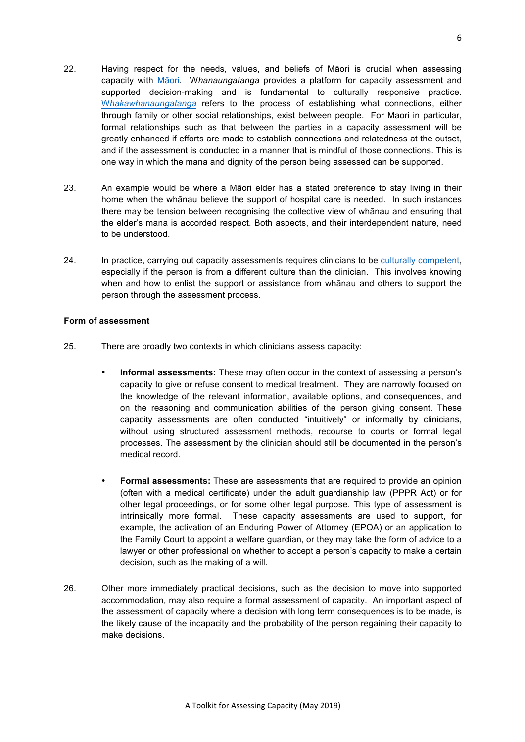- <span id="page-5-0"></span>22. Having respect for the needs, values, and beliefs of Māori is crucial when assessing capacity with Mā[ori.](https://www.mcnz.org.nz/assets/News-and-Publications/Statements/Statement-on-best-practices-when-providing-care-to-Maori-patients-and-their-whanau.pdf) W*hanaungatanga* provides a platform for capacity assessment and supported decision-making and is fundamental to culturally responsive practice. W*[hakawhanaungatanga](http://www.barristerschambers.co.nz/mc/9.html)* refers to the process of establishing what connections, either through family or other social relationships, exist between people. For Maori in particular, formal relationships such as that between the parties in a capacity assessment will be greatly enhanced if efforts are made to establish connections and relatedness at the outset, and if the assessment is conducted in a manner that is mindful of those connections. This is one way in which the mana and dignity of the person being assessed can be supported.
- 23. An example would be where a Māori elder has a stated preference to stay living in their home when the whānau believe the support of hospital care is needed. In such instances there may be tension between recognising the collective view of whānau and ensuring that the elder's mana is accorded respect. Both aspects, and their interdependent nature, need to be understood.
- 24. In practice, carrying out capacity assessments requires clinicians to be [culturally competent,](https://www.mcnz.org.nz/assets/News-and-Publications/Statements/Statement-on-cultural-competence.pdf)  especially if the person is from a different culture than the clinician. This involves knowing when and how to enlist the support or assistance from whānau and others to support the person through the assessment process.

# **Form of assessment**

- 25. There are broadly two contexts in which clinicians assess capacity:
	- **Informal assessments:** These may often occur in the context of assessing a person's capacity to give or refuse consent to medical treatment. They are narrowly focused on the knowledge of the relevant information, available options, and consequences, and on the reasoning and communication abilities of the person giving consent. These capacity assessments are often conducted "intuitively" or informally by clinicians, without using structured assessment methods, recourse to courts or formal legal processes. The assessment by the clinician should still be documented in the person's medical record.
	- **Formal assessments:** These are assessments that are required to provide an opinion (often with a medical certificate) under the adult guardianship law (PPPR Act) or for other legal proceedings, or for some other legal purpose. This type of assessment is intrinsically more formal. These capacity assessments are used to support, for example, the activation of an Enduring Power of Attorney (EPOA) or an application to the Family Court to appoint a welfare guardian, or they may take the form of advice to a lawyer or other professional on whether to accept a person's capacity to make a certain decision, such as the making of a will.
- 26. Other more immediately practical decisions, such as the decision to move into supported accommodation, may also require a formal assessment of capacity. An important aspect of the assessment of capacity where a decision with long term consequences is to be made, is the likely cause of the incapacity and the probability of the person regaining their capacity to make decisions.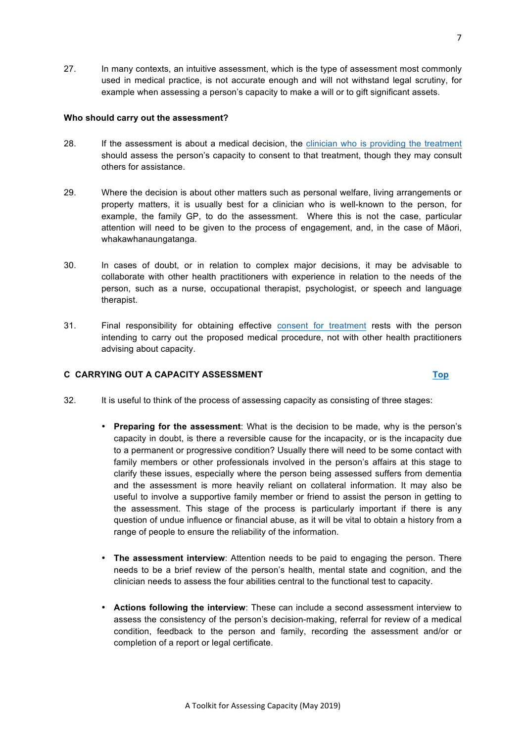<span id="page-6-0"></span>27. In many contexts, an intuitive assessment, which is the type of assessment most commonly used in medical practice, is not accurate enough and will not withstand legal scrutiny, for example when assessing a person's capacity to make a will or to gift significant assets.

# **Who should carry out the assessment?**

- 28. If the assessment is about a medical decision, the [clinician who is providing the treatment](https://www.mcnz.org.nz/assets/News-and-Publications/Statements/Information-choice-of-treatment-and-informed-consent.pdf) should assess the person's capacity to consent to that treatment, though they may consult others for assistance.
- 29. Where the decision is about other matters such as personal welfare, living arrangements or property matters, it is usually best for a clinician who is well-known to the person, for example, the family GP, to do the assessment. Where this is not the case, particular attention will need to be given to the process of engagement, and, in the case of Māori, whakawhanaungatanga.
- 30. In cases of doubt, or in relation to complex major decisions, it may be advisable to collaborate with other health practitioners with experience in relation to the needs of the person, such as a nurse, occupational therapist, psychologist, or speech and language therapist.
- 31. Final responsibility for obtaining effective [consent for treatment](https://www.mcnz.org.nz/assets/News-and-Publications/Statements/Information-choice-of-treatment-and-informed-consent.pdf) rests with the person intending to carry out the proposed medical procedure, not with other health practitioners advising about capacity.

# **C CARRYING OUT A CAPACITY ASSESSMENT [Top](#page-0-0)**

- 32. It is useful to think of the process of assessing capacity as consisting of three stages:
	- **Preparing for the assessment**: What is the decision to be made, why is the person's capacity in doubt, is there a reversible cause for the incapacity, or is the incapacity due to a permanent or progressive condition? Usually there will need to be some contact with family members or other professionals involved in the person's affairs at this stage to clarify these issues, especially where the person being assessed suffers from dementia and the assessment is more heavily reliant on collateral information. It may also be useful to involve a supportive family member or friend to assist the person in getting to the assessment. This stage of the process is particularly important if there is any question of undue influence or financial abuse, as it will be vital to obtain a history from a range of people to ensure the reliability of the information.
	- **The assessment interview**: Attention needs to be paid to engaging the person. There needs to be a brief review of the person's health, mental state and cognition, and the clinician needs to assess the four abilities central to the functional test to capacity.
	- **Actions following the interview**: These can include a second assessment interview to assess the consistency of the person's decision-making, referral for review of a medical condition, feedback to the person and family, recording the assessment and/or or completion of a report or legal certificate.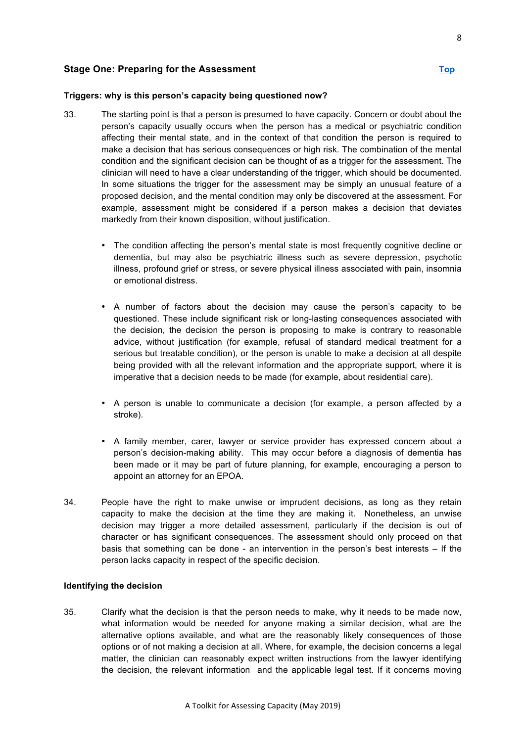# <span id="page-7-0"></span>**Stage One: Preparing for the Assessment [Top](#page-0-0)**

# **Triggers: why is this person's capacity being questioned now?**

- 33. The starting point is that a person is presumed to have capacity. Concern or doubt about the person's capacity usually occurs when the person has a medical or psychiatric condition affecting their mental state, and in the context of that condition the person is required to make a decision that has serious consequences or high risk. The combination of the mental condition and the significant decision can be thought of as a trigger for the assessment. The clinician will need to have a clear understanding of the trigger, which should be documented. In some situations the trigger for the assessment may be simply an unusual feature of a proposed decision, and the mental condition may only be discovered at the assessment. For example, assessment might be considered if a person makes a decision that deviates markedly from their known disposition, without justification.
	- The condition affecting the person's mental state is most frequently cognitive decline or dementia, but may also be psychiatric illness such as severe depression, psychotic illness, profound grief or stress, or severe physical illness associated with pain, insomnia or emotional distress.
	- A number of factors about the decision may cause the person's capacity to be questioned. These include significant risk or long-lasting consequences associated with the decision, the decision the person is proposing to make is contrary to reasonable advice, without justification (for example, refusal of standard medical treatment for a serious but treatable condition), or the person is unable to make a decision at all despite being provided with all the relevant information and the appropriate support, where it is imperative that a decision needs to be made (for example, about residential care).
	- A person is unable to communicate a decision (for example, a person affected by a stroke).
	- A family member, carer, lawyer or service provider has expressed concern about a person's decision-making ability. This may occur before a diagnosis of dementia has been made or it may be part of future planning, for example, encouraging a person to appoint an attorney for an EPOA.
- 34. People have the right to make unwise or imprudent decisions, as long as they retain capacity to make the decision at the time they are making it. Nonetheless, an unwise decision may trigger a more detailed assessment, particularly if the decision is out of character or has significant consequences. The assessment should only proceed on that basis that something can be done - an intervention in the person's best interests – If the person lacks capacity in respect of the specific decision.

#### **Identifying the decision**

35. Clarify what the decision is that the person needs to make, why it needs to be made now, what information would be needed for anyone making a similar decision, what are the alternative options available, and what are the reasonably likely consequences of those options or of not making a decision at all. Where, for example, the decision concerns a legal matter, the clinician can reasonably expect written instructions from the lawyer identifying the decision, the relevant information and the applicable legal test. If it concerns moving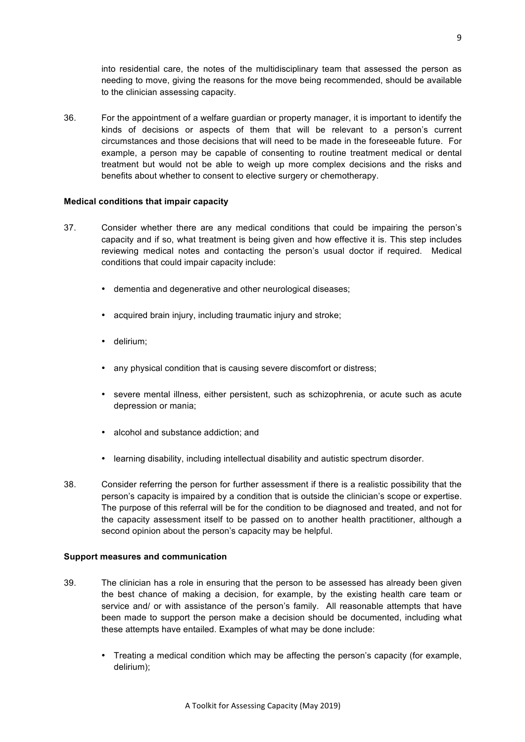<span id="page-8-0"></span>into residential care, the notes of the multidisciplinary team that assessed the person as needing to move, giving the reasons for the move being recommended, should be available to the clinician assessing capacity.

36. For the appointment of a welfare guardian or property manager, it is important to identify the kinds of decisions or aspects of them that will be relevant to a person's current circumstances and those decisions that will need to be made in the foreseeable future. For example, a person may be capable of consenting to routine treatment medical or dental treatment but would not be able to weigh up more complex decisions and the risks and benefits about whether to consent to elective surgery or chemotherapy.

# **Medical conditions that impair capacity**

- 37. Consider whether there are any medical conditions that could be impairing the person's capacity and if so, what treatment is being given and how effective it is. This step includes reviewing medical notes and contacting the person's usual doctor if required. Medical conditions that could impair capacity include:
	- dementia and degenerative and other neurological diseases;
	- acquired brain injury, including traumatic injury and stroke;
	- delirium;
	- any physical condition that is causing severe discomfort or distress;
	- severe mental illness, either persistent, such as schizophrenia, or acute such as acute depression or mania;
	- alcohol and substance addiction; and
	- learning disability, including intellectual disability and autistic spectrum disorder.
- 38. Consider referring the person for further assessment if there is a realistic possibility that the person's capacity is impaired by a condition that is outside the clinician's scope or expertise. The purpose of this referral will be for the condition to be diagnosed and treated, and not for the capacity assessment itself to be passed on to another health practitioner, although a second opinion about the person's capacity may be helpful.

# **Support measures and communication**

- 39. The clinician has a role in ensuring that the person to be assessed has already been given the best chance of making a decision, for example, by the existing health care team or service and/ or with assistance of the person's family. All reasonable attempts that have been made to support the person make a decision should be documented, including what these attempts have entailed. Examples of what may be done include:
	- Treating a medical condition which may be affecting the person's capacity (for example, delirium);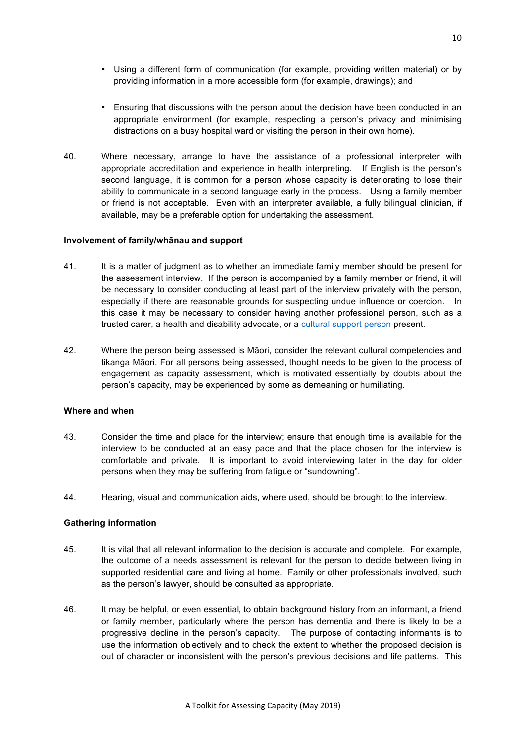- <span id="page-9-0"></span>• Using a different form of communication (for example, providing written material) or by providing information in a more accessible form (for example, drawings); and
- Ensuring that discussions with the person about the decision have been conducted in an appropriate environment (for example, respecting a person's privacy and minimising distractions on a busy hospital ward or visiting the person in their own home).
- 40. Where necessary, arrange to have the assistance of a professional interpreter with appropriate accreditation and experience in health interpreting. If English is the person's second language, it is common for a person whose capacity is deteriorating to lose their ability to communicate in a second language early in the process. Using a family member or friend is not acceptable. Even with an interpreter available, a fully bilingual clinician, if available, may be a preferable option for undertaking the assessment.

#### **Involvement of family/whānau and support**

- 41. It is a matter of judgment as to whether an immediate family member should be present for the assessment interview. If the person is accompanied by a family member or friend, it will be necessary to consider conducting at least part of the interview privately with the person, especially if there are reasonable grounds for suspecting undue influence or coercion. In this case it may be necessary to consider having another professional person, such as a trusted carer, a health and disability advocate, or a [cultural support person](http://www.barristerschambers.co.nz/mc/10.html) present.
- 42. Where the person being assessed is Māori, consider the relevant cultural competencies and tikanga Māori. For all persons being assessed, thought needs to be given to the process of engagement as capacity assessment, which is motivated essentially by doubts about the person's capacity, may be experienced by some as demeaning or humiliating.

# **Where and when**

- 43. Consider the time and place for the interview; ensure that enough time is available for the interview to be conducted at an easy pace and that the place chosen for the interview is comfortable and private. It is important to avoid interviewing later in the day for older persons when they may be suffering from fatigue or "sundowning".
- 44. Hearing, visual and communication aids, where used, should be brought to the interview.

# **Gathering information**

- 45. It is vital that all relevant information to the decision is accurate and complete. For example, the outcome of a needs assessment is relevant for the person to decide between living in supported residential care and living at home. Family or other professionals involved, such as the person's lawyer, should be consulted as appropriate.
- 46. It may be helpful, or even essential, to obtain background history from an informant, a friend or family member, particularly where the person has dementia and there is likely to be a progressive decline in the person's capacity. The purpose of contacting informants is to use the information objectively and to check the extent to whether the proposed decision is out of character or inconsistent with the person's previous decisions and life patterns. This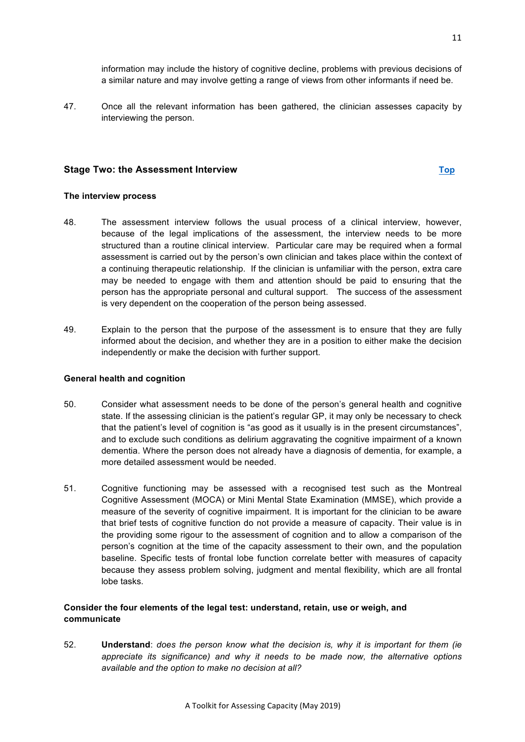<span id="page-10-0"></span>47. Once all the relevant information has been gathered, the clinician assesses capacity by interviewing the person.

# **Stage Two: the Assessment Interview [Top](#page-0-0)**

#### **The interview process**

- 48. The assessment interview follows the usual process of a clinical interview, however, because of the legal implications of the assessment, the interview needs to be more structured than a routine clinical interview. Particular care may be required when a formal assessment is carried out by the person's own clinician and takes place within the context of a continuing therapeutic relationship. If the clinician is unfamiliar with the person, extra care may be needed to engage with them and attention should be paid to ensuring that the person has the appropriate personal and cultural support. The success of the assessment is very dependent on the cooperation of the person being assessed.
- 49. Explain to the person that the purpose of the assessment is to ensure that they are fully informed about the decision, and whether they are in a position to either make the decision independently or make the decision with further support.

# **General health and cognition**

- 50. Consider what assessment needs to be done of the person's general health and cognitive state. If the assessing clinician is the patient's regular GP, it may only be necessary to check that the patient's level of cognition is "as good as it usually is in the present circumstances", and to exclude such conditions as delirium aggravating the cognitive impairment of a known dementia. Where the person does not already have a diagnosis of dementia, for example, a more detailed assessment would be needed.
- 51. Cognitive functioning may be assessed with a recognised test such as the Montreal Cognitive Assessment (MOCA) or Mini Mental State Examination (MMSE), which provide a measure of the severity of cognitive impairment. It is important for the clinician to be aware that brief tests of cognitive function do not provide a measure of capacity. Their value is in the providing some rigour to the assessment of cognition and to allow a comparison of the person's cognition at the time of the capacity assessment to their own, and the population baseline. Specific tests of frontal lobe function correlate better with measures of capacity because they assess problem solving, judgment and mental flexibility, which are all frontal lobe tasks.

# **Consider the four elements of the legal test: understand, retain, use or weigh, and communicate**

52. **Understand**: *does the person know what the decision is, why it is important for them (ie appreciate its significance) and why it needs to be made now, the alternative options available and the option to make no decision at all?*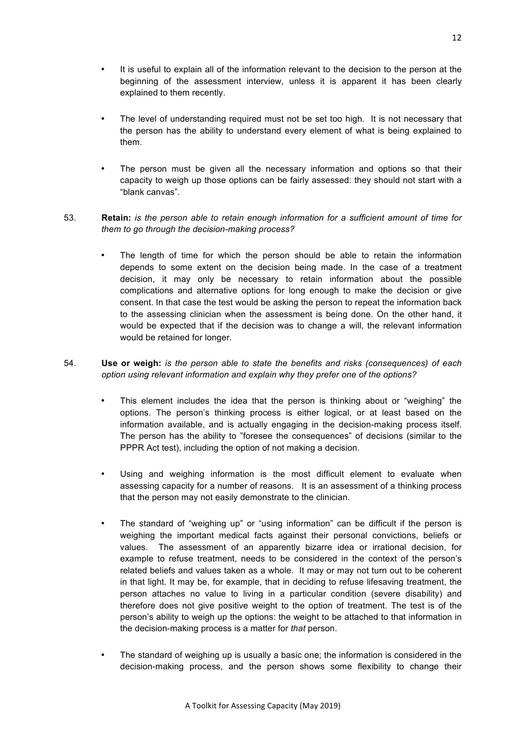- <span id="page-11-0"></span>• It is useful to explain all of the information relevant to the decision to the person at the beginning of the assessment interview, unless it is apparent it has been clearly explained to them recently.
- The level of understanding required must not be set too high. It is not necessary that the person has the ability to understand every element of what is being explained to them.
- The person must be given all the necessary information and options so that their capacity to weigh up those options can be fairly assessed: they should not start with a "blank canvas".

# 53. **Retain:** *is the person able to retain enough information for a sufficient amount of time for them to go through the decision-making process?*

The length of time for which the person should be able to retain the information depends to some extent on the decision being made. In the case of a treatment decision, it may only be necessary to retain information about the possible complications and alternative options for long enough to make the decision or give consent. In that case the test would be asking the person to repeat the information back to the assessing clinician when the assessment is being done. On the other hand, it would be expected that if the decision was to change a will, the relevant information would be retained for longer.

# 54. **Use or weigh:** *is the person able to state the benefits and risks (consequences) of each option using relevant information and explain why they prefer one of the options?*

- This element includes the idea that the person is thinking about or "weighing" the options. The person's thinking process is either logical, or at least based on the information available, and is actually engaging in the decision-making process itself. The person has the ability to "foresee the consequences" of decisions (similar to the PPPR Act test), including the option of not making a decision.
- Using and weighing information is the most difficult element to evaluate when assessing capacity for a number of reasons. It is an assessment of a thinking process that the person may not easily demonstrate to the clinician.
- The standard of "weighing up" or "using information" can be difficult if the person is weighing the important medical facts against their personal convictions, beliefs or values. The assessment of an apparently bizarre idea or irrational decision, for example to refuse treatment, needs to be considered in the context of the person's related beliefs and values taken as a whole. It may or may not turn out to be coherent in that light. It may be, for example, that in deciding to refuse lifesaving treatment, the person attaches no value to living in a particular condition (severe disability) and therefore does not give positive weight to the option of treatment. The test is of the person's ability to weigh up the options: the weight to be attached to that information in the decision-making process is a matter for *that* person.
- The standard of weighing up is usually a basic one; the information is considered in the decision-making process, and the person shows some flexibility to change their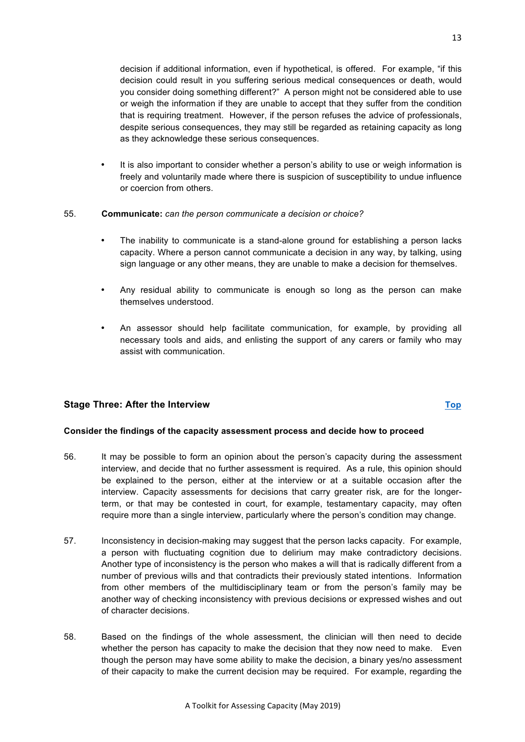• The inability to communicate is a stand-alone ground for establishing a person lacks capacity. Where a person cannot communicate a decision in any way, by talking, using sign language or any other means, they are unable to make a decision for themselves.

<span id="page-12-0"></span>decision if additional information, even if hypothetical, is offered. For example, "if this decision could result in you suffering serious medical consequences or death, would you consider doing something different?" A person might not be considered able to use or weigh the information if they are unable to accept that they suffer from the condition that is requiring treatment. However, if the person refuses the advice of professionals, despite serious consequences, they may still be regarded as retaining capacity as long

• It is also important to consider whether a person's ability to use or weigh information is freely and voluntarily made where there is suspicion of susceptibility to undue influence

- Any residual ability to communicate is enough so long as the person can make themselves understood.
- An assessor should help facilitate communication, for example, by providing all necessary tools and aids, and enlisting the support of any carers or family who may assist with communication.

# **Stage Three: After the Interview [Top](#page-0-0)**

# **Consider the findings of the capacity assessment process and decide how to proceed**

as they acknowledge these serious consequences.

55. **Communicate:** *can the person communicate a decision or choice?*

or coercion from others.

- 56. It may be possible to form an opinion about the person's capacity during the assessment interview, and decide that no further assessment is required. As a rule, this opinion should be explained to the person, either at the interview or at a suitable occasion after the interview. Capacity assessments for decisions that carry greater risk, are for the longerterm, or that may be contested in court, for example, testamentary capacity, may often require more than a single interview, particularly where the person's condition may change.
- 57. Inconsistency in decision-making may suggest that the person lacks capacity. For example, a person with fluctuating cognition due to delirium may make contradictory decisions. Another type of inconsistency is the person who makes a will that is radically different from a number of previous wills and that contradicts their previously stated intentions. Information from other members of the multidisciplinary team or from the person's family may be another way of checking inconsistency with previous decisions or expressed wishes and out of character decisions.
- 58. Based on the findings of the whole assessment, the clinician will then need to decide whether the person has capacity to make the decision that they now need to make. Even though the person may have some ability to make the decision, a binary yes/no assessment of their capacity to make the current decision may be required. For example, regarding the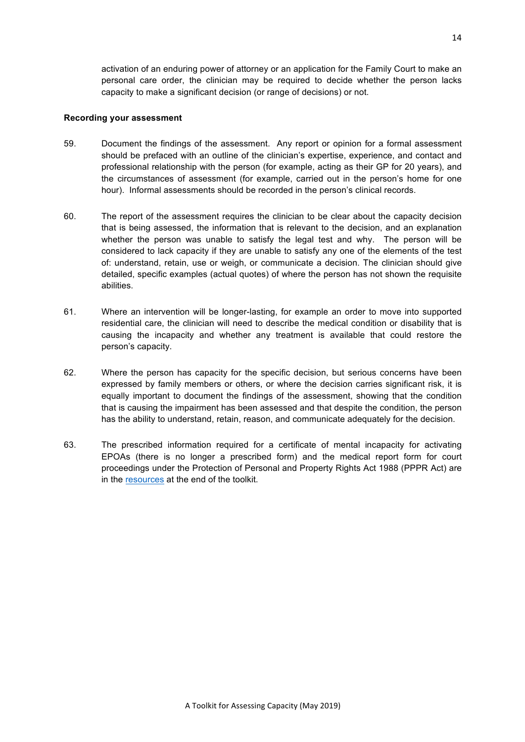<span id="page-13-0"></span>activation of an enduring power of attorney or an application for the Family Court to make an personal care order, the clinician may be required to decide whether the person lacks capacity to make a significant decision (or range of decisions) or not.

#### **Recording your assessment**

- 59. Document the findings of the assessment. Any report or opinion for a formal assessment should be prefaced with an outline of the clinician's expertise, experience, and contact and professional relationship with the person (for example, acting as their GP for 20 years), and the circumstances of assessment (for example, carried out in the person's home for one hour). Informal assessments should be recorded in the person's clinical records.
- 60. The report of the assessment requires the clinician to be clear about the capacity decision that is being assessed, the information that is relevant to the decision, and an explanation whether the person was unable to satisfy the legal test and why. The person will be considered to lack capacity if they are unable to satisfy any one of the elements of the test of: understand, retain, use or weigh, or communicate a decision. The clinician should give detailed, specific examples (actual quotes) of where the person has not shown the requisite abilities.
- 61. Where an intervention will be longer-lasting, for example an order to move into supported residential care, the clinician will need to describe the medical condition or disability that is causing the incapacity and whether any treatment is available that could restore the person's capacity.
- 62. Where the person has capacity for the specific decision, but serious concerns have been expressed by family members or others, or where the decision carries significant risk, it is equally important to document the findings of the assessment, showing that the condition that is causing the impairment has been assessed and that despite the condition, the person has the ability to understand, retain, reason, and communicate adequately for the decision.
- 63. The prescribed information required for a certificate of mental incapacity for activating EPOAs (there is no longer a prescribed form) and the medical report form for court proceedings under the Protection of Personal and Property Rights Act 1988 (PPPR Act) are in the [resources](#page-19-0) at the end of the toolkit.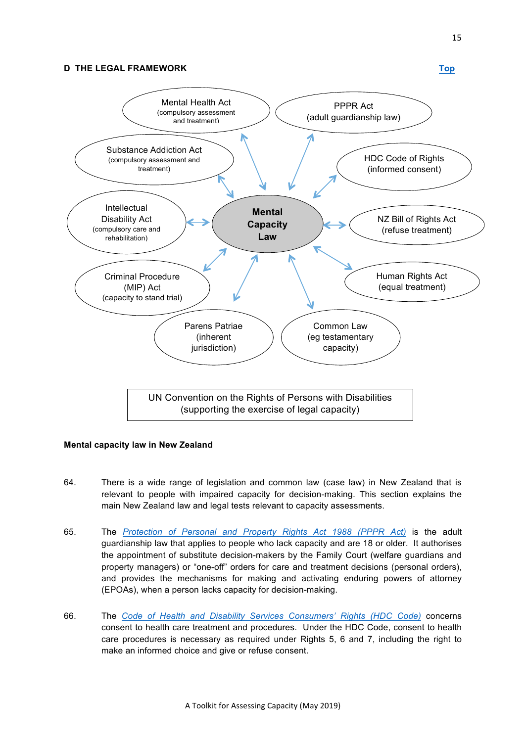# <span id="page-14-0"></span>**D THE LEGAL FRAMEWORK [Top](#page-0-0)**



#### **Mental capacity law in New Zealand**

- 64. There is a wide range of legislation and common law (case law) in New Zealand that is relevant to people with impaired capacity for decision-making. This section explains the main New Zealand law and legal tests relevant to capacity assessments.
- 65. The *[Protection of Personal and Property Rights Act 1988 \(PPPR Act\)](http://legislation.govt.nz/act/public/1988/0004/latest/DLM126528.html)* is the adult guardianship law that applies to people who lack capacity and are 18 or older. It authorises the appointment of substitute decision-makers by the Family Court (welfare guardians and property managers) or "one-off" orders for care and treatment decisions (personal orders), and provides the mechanisms for making and activating enduring powers of attorney (EPOAs), when a person lacks capacity for decision-making.
- 66. The *[Code of Health and Disability Services Consumers' Rights \(HDC Code\)](http://www.barristerschambers.co.nz/mc/code-of-rights.pdf)* concerns consent to health care treatment and procedures. Under the HDC Code, consent to health care procedures is necessary as required under Rights 5, 6 and 7, including the right to make an informed choice and give or refuse consent.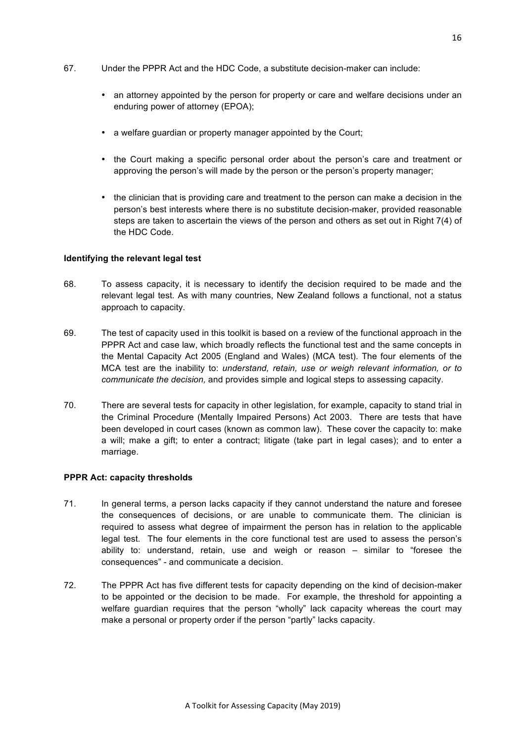- <span id="page-15-0"></span>67. Under the PPPR Act and the HDC Code, a substitute decision-maker can include:
	- an attorney appointed by the person for property or care and welfare decisions under an enduring power of attorney (EPOA);
	- a welfare guardian or property manager appointed by the Court;
	- the Court making a specific personal order about the person's care and treatment or approving the person's will made by the person or the person's property manager;
	- the clinician that is providing care and treatment to the person can make a decision in the person's best interests where there is no substitute decision-maker, provided reasonable steps are taken to ascertain the views of the person and others as set out in Right 7(4) of the HDC Code.

#### **Identifying the relevant legal test**

- 68. To assess capacity, it is necessary to identify the decision required to be made and the relevant legal test. As with many countries, New Zealand follows a functional, not a status approach to capacity.
- 69. The test of capacity used in this toolkit is based on a review of the functional approach in the PPPR Act and case law, which broadly reflects the functional test and the same concepts in the Mental Capacity Act 2005 (England and Wales) (MCA test). The four elements of the MCA test are the inability to: *understand, retain, use or weigh relevant information, or to communicate the decision,* and provides simple and logical steps to assessing capacity.
- 70. There are several tests for capacity in other legislation, for example, capacity to stand trial in the Criminal Procedure (Mentally Impaired Persons) Act 2003. There are tests that have been developed in court cases (known as common law). These cover the capacity to: make a will; make a gift; to enter a contract; litigate (take part in legal cases); and to enter a marriage.

#### **PPPR Act: capacity thresholds**

- 71. In general terms, a person lacks capacity if they cannot understand the nature and foresee the consequences of decisions, or are unable to communicate them. The clinician is required to assess what degree of impairment the person has in relation to the applicable legal test. The four elements in the core functional test are used to assess the person's ability to: understand, retain, use and weigh or reason – similar to "foresee the consequences" - and communicate a decision.
- 72. The PPPR Act has five different tests for capacity depending on the kind of decision-maker to be appointed or the decision to be made. For example, the threshold for appointing a welfare guardian requires that the person "wholly" lack capacity whereas the court may make a personal or property order if the person "partly" lacks capacity.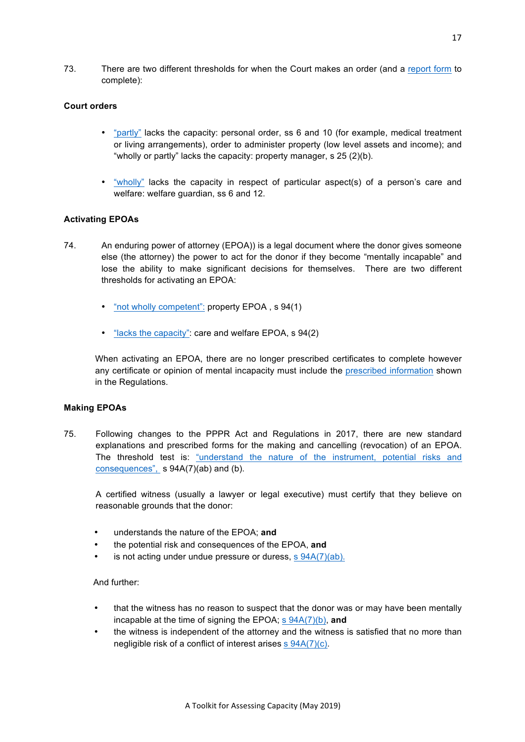73. There are two different thresholds for when the Court makes an order (and a [report form](http://www.legislation.govt.nz/act/public/1988/0004/latest/DLM126528.html) to complete):

#### **Court orders**

- ["partly"](http://legislation.govt.nz/act/public/1988/0004/latest/DLM126577.html) lacks the capacity: personal order, ss 6 and 10 (for example, medical treatment or living arrangements), order to administer property (low level assets and income); and "wholly or partly" lacks the capacity: property manager, s 25 (2)(b).
- ["wholly"](http://legislation.govt.nz/act/public/1988/0004/latest/DLM126577.html) lacks the capacity in respect of particular aspect(s) of a person's care and welfare: welfare guardian, ss 6 and 12.

#### **Activating EPOAs**

- 74. An enduring power of attorney (EPOA)) is a legal document where the donor gives someone else (the attorney) the power to act for the donor if they become "mentally incapable" and lose the ability to make significant decisions for themselves. There are two different thresholds for activating an EPOA:
	- ["not wholly competent":](http://legislation.govt.nz/act/public/1988/0004/latest/DLM127555.html) property EPOA, s 94(1)
	- ["lacks the capacity"](http://legislation.govt.nz/act/public/1988/0004/latest/DLM127555.html): care and welfare EPOA, s 94(2)

When activating an EPOA, there are no longer prescribed certificates to complete however any certificate or opinion of mental incapacity must include the [prescribed information](http://www.legislation.govt.nz/regulation/public/2008/0310/latest/whole.html) shown in the Regulations.

#### **Making EPOAs**

75. Following changes to the PPPR Act and Regulations in 2017, there are new standard explanations and prescribed forms for the making and cancelling (revocation) of an EPOA. The threshold test is: ["understand the nature of the instrument, potential risks and](http://legislation.govt.nz/act/public/1988/0004/latest/DLM1634655.html?search=ts_act%40bill%40regulation%40deemedreg_Personal_resel_25_a&p=1)  [consequences"](http://legislation.govt.nz/act/public/1988/0004/latest/DLM1634655.html?search=ts_act%40bill%40regulation%40deemedreg_Personal_resel_25_a&p=1), s 94A(7)(ab) and (b).

A certified witness (usually a lawyer or legal executive) must certify that they believe on reasonable grounds that the donor:

- understands the nature of the EPOA; **and**
- the potential risk and consequences of the EPOA, **and**
- is not acting under undue pressure or duress, [s 94A\(7\)\(ab\).](http://legislation.govt.nz/act/public/1988/0004/latest/DLM1634655.html?search=ts_act%40bill%40regulation%40deemedreg_Personal_resel_25_a&p=1)

#### And further:

- that the witness has no reason to suspect that the donor was or may have been mentally incapable at the time of signing the EPOA; [s 94A\(7\)\(b\),](http://legislation.govt.nz/act/public/1988/0004/latest/DLM1634655.html?search=ts_act%40bill%40regulation%40deemedreg_Personal_resel_25_a&p=1) **and**
- the witness is independent of the attorney and the witness is satisfied that no more than negligible risk of a conflict of interest arises [s 94A\(7\)\(c\).](http://legislation.govt.nz/act/public/1988/0004/latest/DLM1634655.html?search=ts_act%40bill%40regulation%40deemedreg_Personal_resel_25_a&p=1)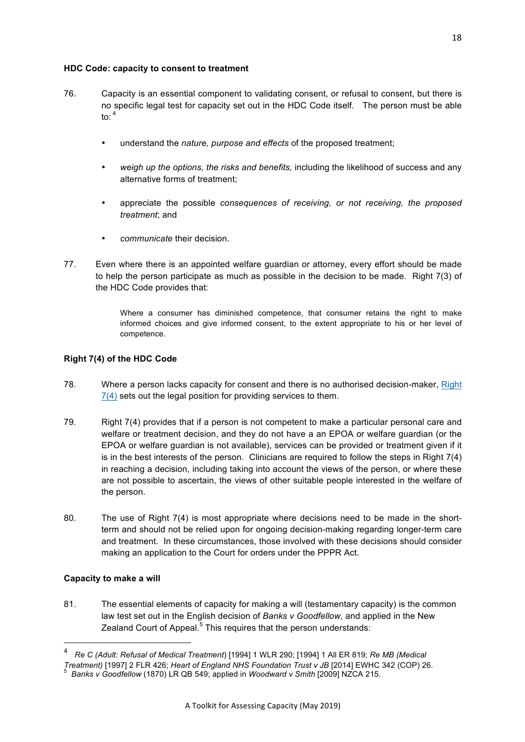# **HDC Code: capacity to consent to treatment**

- 76. Capacity is an essential component to validating consent, or refusal to consent, but there is no specific legal test for capacity set out in the HDC Code itself. The person must be able to:  $4$ 
	- understand the *nature, purpose and effects* of the proposed treatment;
	- *weigh up the options, the risks and benefits,* including the likelihood of success and any alternative forms of treatment;
	- appreciate the possible *consequences of receiving, or not receiving, the proposed treatment*; and
	- *communicate* their decision.
- 77. Even where there is an appointed welfare guardian or attorney, every effort should be made to help the person participate as much as possible in the decision to be made. Right 7(3) of the HDC Code provides that:

Where a consumer has diminished competence, that consumer retains the right to make informed choices and give informed consent, to the extent appropriate to his or her level of competence.

# **Right 7(4) of the HDC Code**

- 78. Where a person lacks capacity for consent and there is no authorised decision-maker, [Right](http://www.barristerschambers.co.nz/mc/code-of-rights.pdf)  [7\(4\)](http://www.barristerschambers.co.nz/mc/code-of-rights.pdf) sets out the legal position for providing services to them.
- 79. Right 7(4) provides that if a person is not competent to make a particular personal care and welfare or treatment decision, and they do not have a an EPOA or welfare guardian (or the EPOA or welfare guardian is not available), services can be provided or treatment given if it is in the best interests of the person. Clinicians are required to follow the steps in Right 7(4) in reaching a decision, including taking into account the views of the person, or where these are not possible to ascertain, the views of other suitable people interested in the welfare of the person.
- 80. The use of Right 7(4) is most appropriate where decisions need to be made in the shortterm and should not be relied upon for ongoing decision-making regarding longer-term care and treatment. In these circumstances, those involved with these decisions should consider making an application to the Court for orders under the PPPR Act.

# **Capacity to make a will**

<u> 1989 - Johann Stein, fransk politiker (d. 1989)</u>

81. The essential elements of capacity for making a will (testamentary capacity) is the common law test set out in the English decision of *Banks v Goodfellow,* and applied in the New Zealand Court of Appeal.<sup>5</sup> This requires that the person understands:

<sup>4</sup> *Re C (Adult: Refusal of Medical Treatment*) [1994] 1 WLR 290; [1994] 1 All ER 819; *Re MB (Medical* 

*Treatment)* [1997] 2 FLR 426; *Heart of England NHS Foundation Trust v JB* [2014] EWHC 342 (COP) 26. <sup>5</sup> *Banks v Goodfellow* (1870) LR QB 549; applied in *Woodward v Smith* [2009] NZCA 215.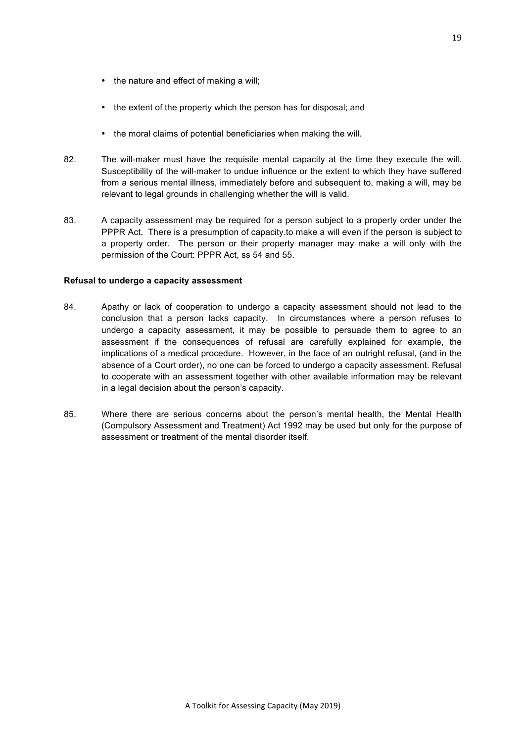- the nature and effect of making a will;
- the extent of the property which the person has for disposal; and
- the moral claims of potential beneficiaries when making the will.
- 82. The will-maker must have the requisite mental capacity at the time they execute the will. Susceptibility of the will-maker to undue influence or the extent to which they have suffered from a serious mental illness, immediately before and subsequent to, making a will, may be relevant to legal grounds in challenging whether the will is valid.
- 83. A capacity assessment may be required for a person subject to a property order under the PPPR Act. There is a presumption of capacity.to make a will even if the person is subject to a property order. The person or their property manager may make a will only with the permission of the Court: PPPR Act, ss 54 and 55.

#### **Refusal to undergo a capacity assessment**

- 84. Apathy or lack of cooperation to undergo a capacity assessment should not lead to the conclusion that a person lacks capacity. In circumstances where a person refuses to undergo a capacity assessment, it may be possible to persuade them to agree to an assessment if the consequences of refusal are carefully explained for example, the implications of a medical procedure. However, in the face of an outright refusal, (and in the absence of a Court order), no one can be forced to undergo a capacity assessment. Refusal to cooperate with an assessment together with other available information may be relevant in a legal decision about the person's capacity.
- 85. Where there are serious concerns about the person's mental health, the Mental Health (Compulsory Assessment and Treatment) Act 1992 may be used but only for the purpose of assessment or treatment of the mental disorder itself.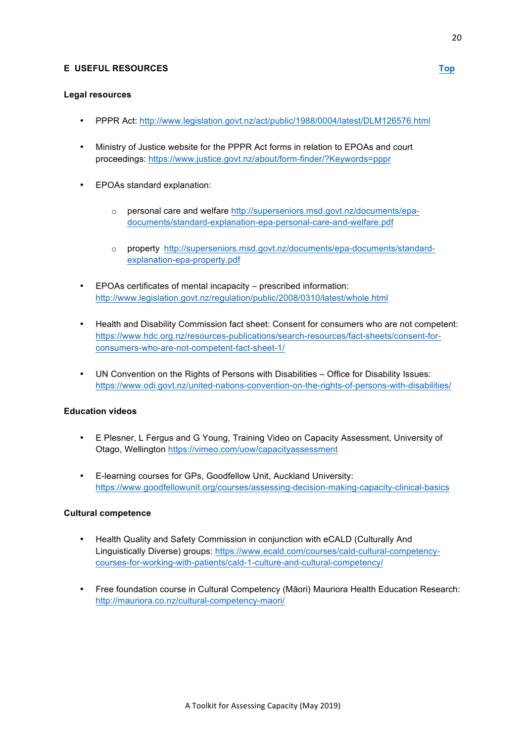# <span id="page-19-0"></span>**E USEFUL RESOURCES [Top](#page-0-0)**

# **Legal resources**

- PPPR Act:<http://www.legislation.govt.nz/act/public/1988/0004/latest/DLM126576.html>
- Ministry of Justice website for the PPPR Act forms in relation to EPOAs and court proceedings: [https://www.justice.govt.nz/about/form-finder/?Keywords=pppr](http://www.barristerschambers.co.nz/mc/8.html)
- EPOAs standard explanation:
	- o personal care and welfare [http://superseniors.msd.govt.nz/documents/epa](http://superseniors.msd.govt.nz/documents/epa-documents/standard-explanation-epa-personal-care-and-welfare.pdf)[documents/standard-explanation-epa-personal-care-and-welfare.pdf](http://superseniors.msd.govt.nz/documents/epa-documents/standard-explanation-epa-personal-care-and-welfare.pdf)
	- o property [http://superseniors.msd.govt.nz/documents/epa-documents/standard](http://superseniors.msd.govt.nz/documents/epa-documents/standard-explanation-epa-property.pdf)[explanation-epa-property.pdf](http://superseniors.msd.govt.nz/documents/epa-documents/standard-explanation-epa-property.pdf)
- EPOAs certificates of mental incapacity prescribed information: <http://www.legislation.govt.nz/regulation/public/2008/0310/latest/whole.html>
- Health and Disability Commission fact sheet: Consent for consumers who are not competent: [https://www.hdc.org.nz/resources-publications/search-resources/fact-sheets/consent-for](http://www.barristerschambers.co.nz/mc/factsheet1.pdf)consumers-who-are-not-competent-fact-sheet-1/
- UN Convention on the Rights of Persons with Disabilities Office for Disability Issues: [https://www.odi.govt.nz/united-nations-convention-on-the-rights-of-persons-with-disabilities/](http://www.barristerschambers.co.nz/mc/7.html)

# **Education videos**

- E Plesner, L Fergus and G Young, Training Video on Capacity Assessment, University of Otago, Wellington [https://vimeo.com/uow/capacityassessment](http://www.barristerschambers.co.nz/mc/5.html)
- E-learning courses for GPs, Goodfellow Unit, Auckland University: [https://www.goodfellowunit.org/courses/assessing-decision-making-capacity-clinical-basics](http://www.barristerschambers.co.nz/mc/11.html)

# **Cultural competence**

- Health Quality and Safety Commission in conjunction with eCALD (Culturally And Linguistically Diverse) groups: [https://www.ecald.com/courses/cald-cultural-competency](http://www.barristerschambers.co.nz/mc/4.html)[courses-for-working-with-patients/cald-1-culture-and-cultural-competency/](http://www.barristerschambers.co.nz/mc/4.html)
- Free foundation course in Cultural Competency (Māori) Mauriora Health Education Research: [http://mauriora.co.nz/cultural-competency-maori/](http://www.barristerschambers.co.nz/mc/3.html)